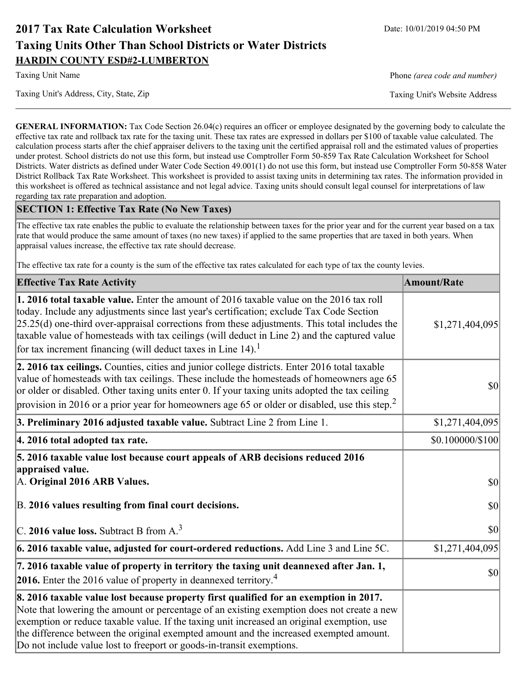# **2017 Tax Rate Calculation Worksheet** Date: 10/01/2019 04:50 PM **Taxing Units Other Than School Districts or Water Districts HARDIN COUNTY ESD#2-LUMBERTON**

Taxing Unit's Address, City, State, Zip Taxing Unit's Website Address

Taxing Unit Name **Phone** *(area code and number)* Phone *(area code and number)* 

**GENERAL INFORMATION:** Tax Code Section 26.04(c) requires an officer or employee designated by the governing body to calculate the effective tax rate and rollback tax rate for the taxing unit. These tax rates are expressed in dollars per \$100 of taxable value calculated. The calculation process starts after the chief appraiser delivers to the taxing unit the certified appraisal roll and the estimated values of properties under protest. School districts do not use this form, but instead use Comptroller Form 50-859 Tax Rate Calculation Worksheet for School Districts. Water districts as defined under Water Code Section 49.001(1) do not use this form, but instead use Comptroller Form 50-858 Water District Rollback Tax Rate Worksheet. This worksheet is provided to assist taxing units in determining tax rates. The information provided in this worksheet is offered as technical assistance and not legal advice. Taxing units should consult legal counsel for interpretations of law regarding tax rate preparation and adoption.

### **SECTION 1: Effective Tax Rate (No New Taxes)**

The effective tax rate enables the public to evaluate the relationship between taxes for the prior year and for the current year based on a tax rate that would produce the same amount of taxes (no new taxes) if applied to the same properties that are taxed in both years. When appraisal values increase, the effective tax rate should decrease.

The effective tax rate for a county is the sum of the effective tax rates calculated for each type of tax the county levies.

| <b>Effective Tax Rate Activity</b>                                                                                                                                                                                                                                                                                                                                                                                                                                             | <b>Amount/Rate</b> |
|--------------------------------------------------------------------------------------------------------------------------------------------------------------------------------------------------------------------------------------------------------------------------------------------------------------------------------------------------------------------------------------------------------------------------------------------------------------------------------|--------------------|
| <b>1. 2016 total taxable value.</b> Enter the amount of 2016 taxable value on the 2016 tax roll<br>today. Include any adjustments since last year's certification; exclude Tax Code Section<br>$[25.25(d)$ one-third over-appraisal corrections from these adjustments. This total includes the<br>taxable value of homesteads with tax ceilings (will deduct in Line 2) and the captured value<br>for tax increment financing (will deduct taxes in Line $14$ ). <sup>1</sup> | \$1,271,404,095    |
| 2. 2016 tax ceilings. Counties, cities and junior college districts. Enter 2016 total taxable<br>value of homesteads with tax ceilings. These include the homesteads of homeowners age 65<br>or older or disabled. Other taxing units enter 0. If your taxing units adopted the tax ceiling<br>provision in 2016 or a prior year for homeowners age 65 or older or disabled, use this step. <sup>2</sup>                                                                       | 30                 |
| 3. Preliminary 2016 adjusted taxable value. Subtract Line 2 from Line 1.                                                                                                                                                                                                                                                                                                                                                                                                       | \$1,271,404,095    |
| 4. 2016 total adopted tax rate.                                                                                                                                                                                                                                                                                                                                                                                                                                                | \$0.100000/\$100   |
| 5. 2016 taxable value lost because court appeals of ARB decisions reduced 2016<br>appraised value.<br>A. Original 2016 ARB Values.                                                                                                                                                                                                                                                                                                                                             | $ 10\rangle$       |
| B. 2016 values resulting from final court decisions.                                                                                                                                                                                                                                                                                                                                                                                                                           | 30                 |
| C. 2016 value loss. Subtract B from $A3$                                                                                                                                                                                                                                                                                                                                                                                                                                       | 30                 |
| 6. 2016 taxable value, adjusted for court-ordered reductions. Add Line 3 and Line 5C.                                                                                                                                                                                                                                                                                                                                                                                          | \$1,271,404,095    |
| 7. 2016 taxable value of property in territory the taxing unit deannexed after Jan. 1,<br><b>2016.</b> Enter the 2016 value of property in deannexed territory. <sup>4</sup>                                                                                                                                                                                                                                                                                                   | $ 10\rangle$       |
| 8. 2016 taxable value lost because property first qualified for an exemption in 2017.<br>Note that lowering the amount or percentage of an existing exemption does not create a new<br>exemption or reduce taxable value. If the taxing unit increased an original exemption, use<br>the difference between the original exempted amount and the increased exempted amount.<br>Do not include value lost to freeport or goods-in-transit exemptions.                           |                    |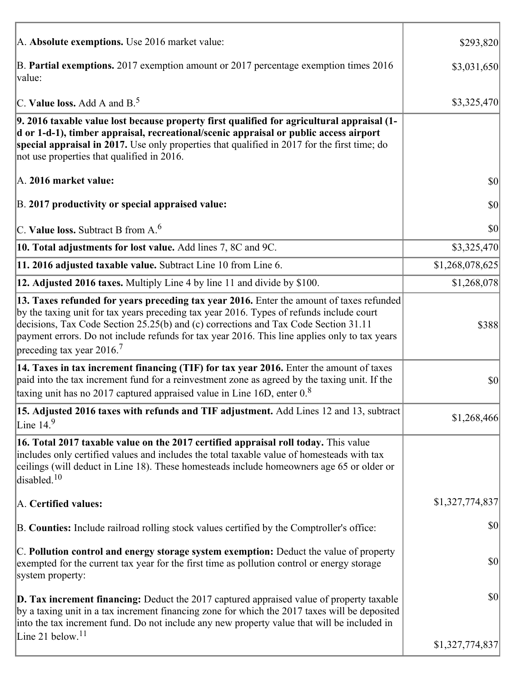| A. Absolute exemptions. Use 2016 market value:                                                                                                                                                                                                                                                                                                                                                                         | \$293,820       |
|------------------------------------------------------------------------------------------------------------------------------------------------------------------------------------------------------------------------------------------------------------------------------------------------------------------------------------------------------------------------------------------------------------------------|-----------------|
| B. Partial exemptions. 2017 exemption amount or 2017 percentage exemption times 2016<br>value:                                                                                                                                                                                                                                                                                                                         | \$3,031,650     |
| C. Value loss. Add A and $B^5$                                                                                                                                                                                                                                                                                                                                                                                         | \$3,325,470     |
| 9. 2016 taxable value lost because property first qualified for agricultural appraisal (1-<br>d or 1-d-1), timber appraisal, recreational/scenic appraisal or public access airport<br>special appraisal in 2017. Use only properties that qualified in 2017 for the first time; do<br>not use properties that qualified in 2016.                                                                                      |                 |
| A. 2016 market value:                                                                                                                                                                                                                                                                                                                                                                                                  | \$0             |
| B. 2017 productivity or special appraised value:                                                                                                                                                                                                                                                                                                                                                                       | $ 10\rangle$    |
| C. Value loss. Subtract B from $A6$                                                                                                                                                                                                                                                                                                                                                                                    | $ 10\rangle$    |
| 10. Total adjustments for lost value. Add lines 7, 8C and 9C.                                                                                                                                                                                                                                                                                                                                                          | \$3,325,470     |
| 11. 2016 adjusted taxable value. Subtract Line 10 from Line 6.                                                                                                                                                                                                                                                                                                                                                         | \$1,268,078,625 |
| 12. Adjusted 2016 taxes. Multiply Line 4 by line 11 and divide by \$100.                                                                                                                                                                                                                                                                                                                                               | \$1,268,078     |
| 13. Taxes refunded for years preceding tax year 2016. Enter the amount of taxes refunded<br>by the taxing unit for tax years preceding tax year 2016. Types of refunds include court<br>decisions, Tax Code Section 25.25(b) and (c) corrections and Tax Code Section 31.11<br>payment errors. Do not include refunds for tax year 2016. This line applies only to tax years<br>preceding tax year $2016$ <sup>7</sup> | \$388           |
| 14. Taxes in tax increment financing (TIF) for tax year 2016. Enter the amount of taxes<br>paid into the tax increment fund for a reinvestment zone as agreed by the taxing unit. If the<br>taxing unit has no 2017 captured appraised value in Line 16D, enter $0.8$                                                                                                                                                  | $ 10\rangle$    |
| 15. Adjusted 2016 taxes with refunds and TIF adjustment. Add Lines 12 and 13, subtract<br>Line $149$                                                                                                                                                                                                                                                                                                                   | \$1,268,466     |
| 16. Total 2017 taxable value on the 2017 certified appraisal roll today. This value<br>includes only certified values and includes the total taxable value of homesteads with tax<br>ceilings (will deduct in Line 18). These homesteads include homeowners age 65 or older or<br>disabled. $10$                                                                                                                       |                 |
| A. Certified values:                                                                                                                                                                                                                                                                                                                                                                                                   | \$1,327,774,837 |
| B. Counties: Include railroad rolling stock values certified by the Comptroller's office:                                                                                                                                                                                                                                                                                                                              | \$0             |
| C. Pollution control and energy storage system exemption: Deduct the value of property<br>exempted for the current tax year for the first time as pollution control or energy storage<br>system property:                                                                                                                                                                                                              | \$0             |
| <b>D. Tax increment financing:</b> Deduct the 2017 captured appraised value of property taxable<br>by a taxing unit in a tax increment financing zone for which the 2017 taxes will be deposited<br>into the tax increment fund. Do not include any new property value that will be included in                                                                                                                        | \$0             |
| Line 21 below. <sup>11</sup>                                                                                                                                                                                                                                                                                                                                                                                           | \$1,327,774,837 |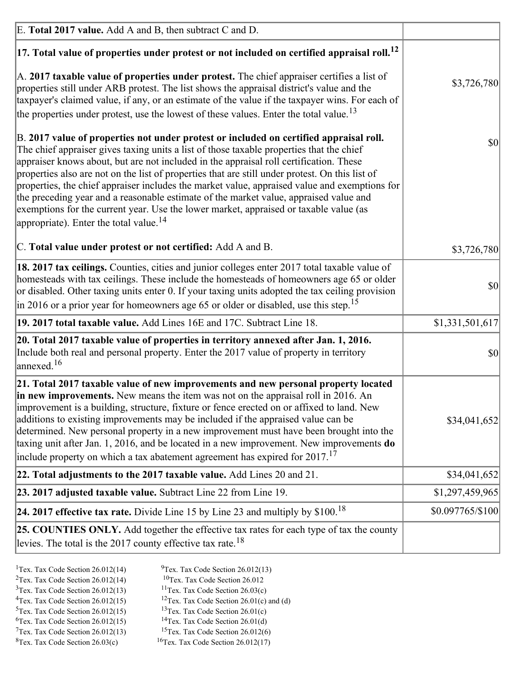| E. Total 2017 value. Add A and B, then subtract C and D.                                                                                                                                                                                                                                                                                                                                                                                                                                                                                                                                                                                                                                                                 |                  |
|--------------------------------------------------------------------------------------------------------------------------------------------------------------------------------------------------------------------------------------------------------------------------------------------------------------------------------------------------------------------------------------------------------------------------------------------------------------------------------------------------------------------------------------------------------------------------------------------------------------------------------------------------------------------------------------------------------------------------|------------------|
| $ 17$ . Total value of properties under protest or not included on certified appraisal roll. <sup>12</sup>                                                                                                                                                                                                                                                                                                                                                                                                                                                                                                                                                                                                               |                  |
| A. 2017 taxable value of properties under protest. The chief appraiser certifies a list of<br>properties still under ARB protest. The list shows the appraisal district's value and the<br>taxpayer's claimed value, if any, or an estimate of the value if the taxpayer wins. For each of<br>the properties under protest, use the lowest of these values. Enter the total value. <sup>13</sup>                                                                                                                                                                                                                                                                                                                         | \$3,726,780      |
| B. 2017 value of properties not under protest or included on certified appraisal roll.<br>The chief appraiser gives taxing units a list of those taxable properties that the chief<br>appraiser knows about, but are not included in the appraisal roll certification. These<br>properties also are not on the list of properties that are still under protest. On this list of<br>properties, the chief appraiser includes the market value, appraised value and exemptions for<br>the preceding year and a reasonable estimate of the market value, appraised value and<br>exemptions for the current year. Use the lower market, appraised or taxable value (as<br>appropriate). Enter the total value. <sup>14</sup> | 30               |
| C. Total value under protest or not certified: Add A and B.                                                                                                                                                                                                                                                                                                                                                                                                                                                                                                                                                                                                                                                              | \$3,726,780      |
| 18. 2017 tax ceilings. Counties, cities and junior colleges enter 2017 total taxable value of<br>homesteads with tax ceilings. These include the homesteads of homeowners age 65 or older<br>or disabled. Other taxing units enter 0. If your taxing units adopted the tax ceiling provision<br>$\vert$ in 2016 or a prior year for homeowners age 65 or older or disabled, use this step. <sup>15</sup>                                                                                                                                                                                                                                                                                                                 | 30               |
| 19. 2017 total taxable value. Add Lines 16E and 17C. Subtract Line 18.                                                                                                                                                                                                                                                                                                                                                                                                                                                                                                                                                                                                                                                   | \$1,331,501,617  |
| 20. Total 2017 taxable value of properties in territory annexed after Jan. 1, 2016.<br>Include both real and personal property. Enter the 2017 value of property in territory<br>annexed. <sup>16</sup>                                                                                                                                                                                                                                                                                                                                                                                                                                                                                                                  | $ 10\rangle$     |
| 21. Total 2017 taxable value of new improvements and new personal property located<br>in new improvements. New means the item was not on the appraisal roll in 2016. An<br>improvement is a building, structure, fixture or fence erected on or affixed to land. New<br>additions to existing improvements may be included if the appraised value can be<br>determined. New personal property in a new improvement must have been brought into the<br>taxing unit after Jan. 1, 2016, and be located in a new improvement. New improvements do<br>include property on which a tax abatement agreement has expired for $2017$ . <sup>17</sup>                                                                             | \$34,041,652     |
| 22. Total adjustments to the 2017 taxable value. Add Lines 20 and 21.                                                                                                                                                                                                                                                                                                                                                                                                                                                                                                                                                                                                                                                    | \$34,041,652     |
| 23. 2017 adjusted taxable value. Subtract Line 22 from Line 19.                                                                                                                                                                                                                                                                                                                                                                                                                                                                                                                                                                                                                                                          | \$1,297,459,965  |
| 24. 2017 effective tax rate. Divide Line 15 by Line 23 and multiply by $$100$ . <sup>18</sup>                                                                                                                                                                                                                                                                                                                                                                                                                                                                                                                                                                                                                            | \$0.097765/\$100 |
| 25. COUNTIES ONLY. Add together the effective tax rates for each type of tax the county<br>levies. The total is the 2017 county effective tax rate. <sup>18</sup>                                                                                                                                                                                                                                                                                                                                                                                                                                                                                                                                                        |                  |

- <sup>2</sup>Tex. Tax Code Section 26.012(14)
- <sup>1</sup>Tex. Tax Code Section 26.012(14) <sup>9</sup>Tex. Tax Code Section 26.012(13) <sup>9</sup>Tex. Tax Code Section 26.012
	-
- <sup>3</sup>Tex. Tax Code Section 26.012(13) <sup>11</sup>Tex. Tax Code Section 26.03(c) <sup>4</sup>Tex. Tax Code Section 26.01(c) and <sup>12</sup>Tex. Tax Code Section 26.01(c) and <sup>12</sup>Tex. Tax Code Section 26.01(c) and <sup>12</sup>Tex. Tax Code Section 26.01(c) <sup>12</sup>Tex. Tax Code Section 26.01(c) and (d)
- 
- <sup>5</sup>Tex. Tax Code Section 26.012(15) <sup>13</sup>Tex. Tax Code Section 26.01(c) <sup>6</sup>Tex. Tax Code Section 26.01(d)
	-
- $7$ Tex. Tax Code Section 26.012(13)
- ${}^{8}$ Tex. Tax Code Section 26.03(c)  ${}^{16}$ Tex. Tax Code Section 26.012(17)
- <sup>6</sup>Tex. Tax Code Section 26.012(15) <sup>14</sup>Tex. Tax Code Section 26.01(d)<sup>7</sup>Tex. Tax Code Section 26.012(6)
	-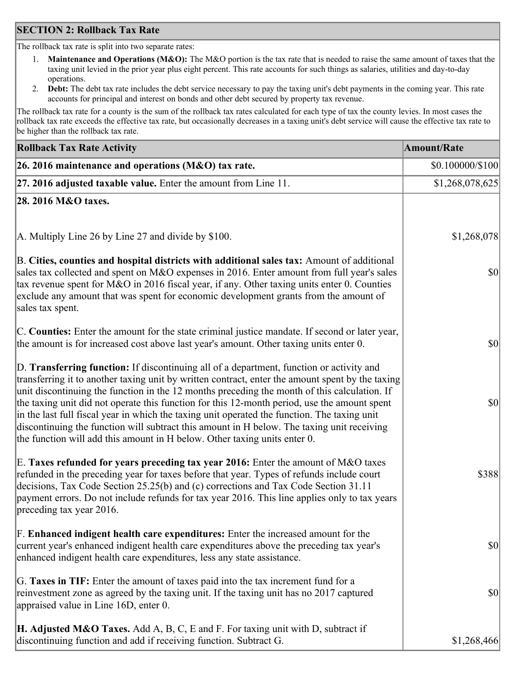### **SECTION 2: Rollback Tax Rate**

The rollback tax rate is split into two separate rates:

- 1. **Maintenance and Operations (M&O):** The M&O portion is the tax rate that is needed to raise the same amount of taxes that the taxing unit levied in the prior year plus eight percent. This rate accounts for such things as salaries, utilities and day-to-day operations.
- 2. **Debt:** The debt tax rate includes the debt service necessary to pay the taxing unit's debt payments in the coming year. This rate accounts for principal and interest on bonds and other debt secured by property tax revenue.

The rollback tax rate for a county is the sum of the rollback tax rates calculated for each type of tax the county levies. In most cases the rollback tax rate exceeds the effective tax rate, but occasionally decreases in a taxing unit's debt service will cause the effective tax rate to be higher than the rollback tax rate.

| <b>Rollback Tax Rate Activity</b>                                                                                                                                                                                                                                                                                                                                                                                                                                                                                                                                                                                                                                       | <b>Amount/Rate</b> |
|-------------------------------------------------------------------------------------------------------------------------------------------------------------------------------------------------------------------------------------------------------------------------------------------------------------------------------------------------------------------------------------------------------------------------------------------------------------------------------------------------------------------------------------------------------------------------------------------------------------------------------------------------------------------------|--------------------|
| 26. 2016 maintenance and operations (M&O) tax rate.                                                                                                                                                                                                                                                                                                                                                                                                                                                                                                                                                                                                                     | \$0.100000/\$100   |
| $ 27.2016$ adjusted taxable value. Enter the amount from Line 11.                                                                                                                                                                                                                                                                                                                                                                                                                                                                                                                                                                                                       | \$1,268,078,625    |
| 28. 2016 M&O taxes.                                                                                                                                                                                                                                                                                                                                                                                                                                                                                                                                                                                                                                                     |                    |
|                                                                                                                                                                                                                                                                                                                                                                                                                                                                                                                                                                                                                                                                         |                    |
| A. Multiply Line 26 by Line 27 and divide by \$100.                                                                                                                                                                                                                                                                                                                                                                                                                                                                                                                                                                                                                     | \$1,268,078        |
| B. Cities, counties and hospital districts with additional sales tax: Amount of additional<br>sales tax collected and spent on M&O expenses in 2016. Enter amount from full year's sales<br>tax revenue spent for M&O in 2016 fiscal year, if any. Other taxing units enter 0. Counties<br>exclude any amount that was spent for economic development grants from the amount of<br>sales tax spent.                                                                                                                                                                                                                                                                     | \$0                |
| C. Counties: Enter the amount for the state criminal justice mandate. If second or later year,<br>the amount is for increased cost above last year's amount. Other taxing units enter 0.                                                                                                                                                                                                                                                                                                                                                                                                                                                                                | 30                 |
| D. Transferring function: If discontinuing all of a department, function or activity and<br>transferring it to another taxing unit by written contract, enter the amount spent by the taxing<br>unit discontinuing the function in the 12 months preceding the month of this calculation. If<br>the taxing unit did not operate this function for this 12-month period, use the amount spent<br>in the last full fiscal year in which the taxing unit operated the function. The taxing unit<br>discontinuing the function will subtract this amount in H below. The taxing unit receiving<br>the function will add this amount in H below. Other taxing units enter 0. | \$0                |
| E. Taxes refunded for years preceding tax year 2016: Enter the amount of M&O taxes<br>refunded in the preceding year for taxes before that year. Types of refunds include court<br>decisions, Tax Code Section 25.25(b) and (c) corrections and Tax Code Section 31.11<br>payment errors. Do not include refunds for tax year 2016. This line applies only to tax years<br>preceding tax year 2016.                                                                                                                                                                                                                                                                     | \$388              |
| F. Enhanced indigent health care expenditures: Enter the increased amount for the<br>current year's enhanced indigent health care expenditures above the preceding tax year's<br>enhanced indigent health care expenditures, less any state assistance.                                                                                                                                                                                                                                                                                                                                                                                                                 | $ 10\rangle$       |
| G. Taxes in TIF: Enter the amount of taxes paid into the tax increment fund for a<br>reinvestment zone as agreed by the taxing unit. If the taxing unit has no 2017 captured<br>appraised value in Line 16D, enter 0.                                                                                                                                                                                                                                                                                                                                                                                                                                                   | \$0                |
| <b>H. Adjusted M&amp;O Taxes.</b> Add A, B, C, E and F. For taxing unit with D, subtract if<br>discontinuing function and add if receiving function. Subtract G.                                                                                                                                                                                                                                                                                                                                                                                                                                                                                                        | \$1,268,466        |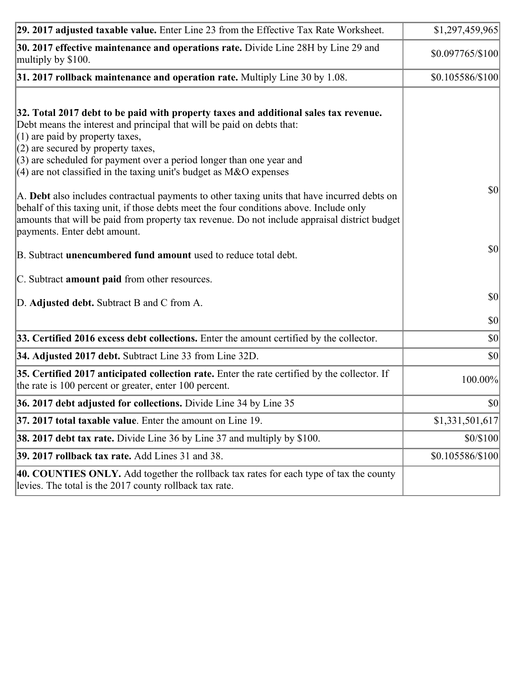| 29. 2017 adjusted taxable value. Enter Line 23 from the Effective Tax Rate Worksheet.                                                                                                                                                                                                                                                                                                                                                                                                                                                                                                                                                                                                                                     | \$1,297,459,965  |
|---------------------------------------------------------------------------------------------------------------------------------------------------------------------------------------------------------------------------------------------------------------------------------------------------------------------------------------------------------------------------------------------------------------------------------------------------------------------------------------------------------------------------------------------------------------------------------------------------------------------------------------------------------------------------------------------------------------------------|------------------|
| 30. 2017 effective maintenance and operations rate. Divide Line 28H by Line 29 and<br>multiply by \$100.                                                                                                                                                                                                                                                                                                                                                                                                                                                                                                                                                                                                                  | \$0.097765/\$100 |
| $31.2017$ rollback maintenance and operation rate. Multiply Line 30 by 1.08.                                                                                                                                                                                                                                                                                                                                                                                                                                                                                                                                                                                                                                              | \$0.105586/\$100 |
| 32. Total 2017 debt to be paid with property taxes and additional sales tax revenue.<br>Debt means the interest and principal that will be paid on debts that:<br>$(1)$ are paid by property taxes,<br>$(2)$ are secured by property taxes,<br>$(3)$ are scheduled for payment over a period longer than one year and<br>(4) are not classified in the taxing unit's budget as $M&O$ expenses<br>A. Debt also includes contractual payments to other taxing units that have incurred debts on<br>behalf of this taxing unit, if those debts meet the four conditions above. Include only<br>amounts that will be paid from property tax revenue. Do not include appraisal district budget<br>payments. Enter debt amount. | 30               |
| B. Subtract unencumbered fund amount used to reduce total debt.                                                                                                                                                                                                                                                                                                                                                                                                                                                                                                                                                                                                                                                           | \$0              |
| C. Subtract amount paid from other resources.                                                                                                                                                                                                                                                                                                                                                                                                                                                                                                                                                                                                                                                                             |                  |
| D. Adjusted debt. Subtract B and C from A.                                                                                                                                                                                                                                                                                                                                                                                                                                                                                                                                                                                                                                                                                | $ 10\rangle$     |
|                                                                                                                                                                                                                                                                                                                                                                                                                                                                                                                                                                                                                                                                                                                           | $ 10\rangle$     |
| 33. Certified 2016 excess debt collections. Enter the amount certified by the collector.                                                                                                                                                                                                                                                                                                                                                                                                                                                                                                                                                                                                                                  | $ 10\rangle$     |
| 34. Adjusted 2017 debt. Subtract Line 33 from Line 32D.                                                                                                                                                                                                                                                                                                                                                                                                                                                                                                                                                                                                                                                                   | \$0              |
| 35. Certified 2017 anticipated collection rate. Enter the rate certified by the collector. If<br>the rate is 100 percent or greater, enter 100 percent.                                                                                                                                                                                                                                                                                                                                                                                                                                                                                                                                                                   | 100.00%          |
| 36. 2017 debt adjusted for collections. Divide Line 34 by Line 35                                                                                                                                                                                                                                                                                                                                                                                                                                                                                                                                                                                                                                                         | 30               |
| 37. 2017 total taxable value. Enter the amount on Line 19.                                                                                                                                                                                                                                                                                                                                                                                                                                                                                                                                                                                                                                                                | \$1,331,501,617  |
| <b>38. 2017 debt tax rate.</b> Divide Line 36 by Line 37 and multiply by \$100.                                                                                                                                                                                                                                                                                                                                                                                                                                                                                                                                                                                                                                           | \$0/\$100        |
| 39. 2017 rollback tax rate. Add Lines 31 and 38.                                                                                                                                                                                                                                                                                                                                                                                                                                                                                                                                                                                                                                                                          | \$0.105586/\$100 |
| 40. COUNTIES ONLY. Add together the rollback tax rates for each type of tax the county<br>levies. The total is the 2017 county rollback tax rate.                                                                                                                                                                                                                                                                                                                                                                                                                                                                                                                                                                         |                  |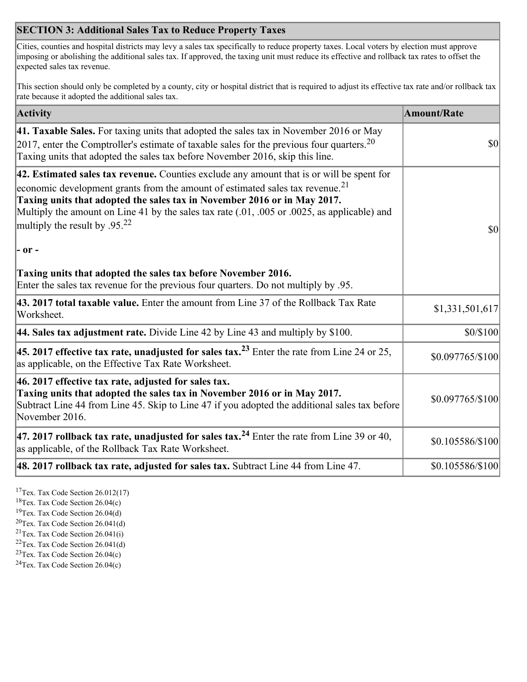## **SECTION 3: Additional Sales Tax to Reduce Property Taxes**

Cities, counties and hospital districts may levy a sales tax specifically to reduce property taxes. Local voters by election must approve imposing or abolishing the additional sales tax. If approved, the taxing unit must reduce its effective and rollback tax rates to offset the expected sales tax revenue.

This section should only be completed by a county, city or hospital district that is required to adjust its effective tax rate and/or rollback tax rate because it adopted the additional sales tax.

| <b>Activity</b>                                                                                                                                                                                                                                                                                                                                                                                                 | <b>Amount/Rate</b>                  |
|-----------------------------------------------------------------------------------------------------------------------------------------------------------------------------------------------------------------------------------------------------------------------------------------------------------------------------------------------------------------------------------------------------------------|-------------------------------------|
| 41. Taxable Sales. For taxing units that adopted the sales tax in November 2016 or May<br>[2017, enter the Comptroller's estimate of taxable sales for the previous four quarters. <sup>20</sup><br>Taxing units that adopted the sales tax before November 2016, skip this line.                                                                                                                               | $\vert \mathbf{S} \mathbf{O} \vert$ |
| 42. Estimated sales tax revenue. Counties exclude any amount that is or will be spent for<br>economic development grants from the amount of estimated sales tax revenue. <sup>21</sup><br>Taxing units that adopted the sales tax in November 2016 or in May 2017.<br>Multiply the amount on Line 41 by the sales tax rate (.01, .005 or .0025, as applicable) and<br>multiply the result by .95. <sup>22</sup> | \$0                                 |
| $ -$ or $-$                                                                                                                                                                                                                                                                                                                                                                                                     |                                     |
| Taxing units that adopted the sales tax before November 2016.<br>Enter the sales tax revenue for the previous four quarters. Do not multiply by .95.                                                                                                                                                                                                                                                            |                                     |
| 43. 2017 total taxable value. Enter the amount from Line 37 of the Rollback Tax Rate<br>Worksheet.                                                                                                                                                                                                                                                                                                              | \$1,331,501,617                     |
| 44. Sales tax adjustment rate. Divide Line 42 by Line 43 and multiply by $$100$ .                                                                                                                                                                                                                                                                                                                               | \$0/\$100                           |
| 45. 2017 effective tax rate, unadjusted for sales tax. <sup>23</sup> Enter the rate from Line 24 or 25,<br>as applicable, on the Effective Tax Rate Worksheet.                                                                                                                                                                                                                                                  | \$0.097765/\$100                    |
| $ 46.2017$ effective tax rate, adjusted for sales tax.<br>Taxing units that adopted the sales tax in November 2016 or in May 2017.<br>Subtract Line 44 from Line 45. Skip to Line 47 if you adopted the additional sales tax before<br>November 2016.                                                                                                                                                           | \$0.097765/\$100                    |
| 47. 2017 rollback tax rate, unadjusted for sales tax. <sup>24</sup> Enter the rate from Line 39 or 40,<br>as applicable, of the Rollback Tax Rate Worksheet.                                                                                                                                                                                                                                                    | \$0.105586/\$100                    |
| $ 48.2017$ rollback tax rate, adjusted for sales tax. Subtract Line 44 from Line 47.                                                                                                                                                                                                                                                                                                                            | \$0.105586/\$100                    |

<sup>17</sup>Tex. Tax Code Section 26.012(17)

<sup>18</sup>Tex. Tax Code Section 26.04(c)

<sup>19</sup>Tex. Tax Code Section 26.04(d)

<sup>20</sup>Tex. Tax Code Section 26.041(d)

- $21$ Tex. Tax Code Section 26.041(i)
- <sup>22</sup>Tex. Tax Code Section 26.041(d)
- <sup>23</sup>Tex. Tax Code Section  $26.04(c)$

<sup>24</sup>Tex. Tax Code Section  $26.04(c)$